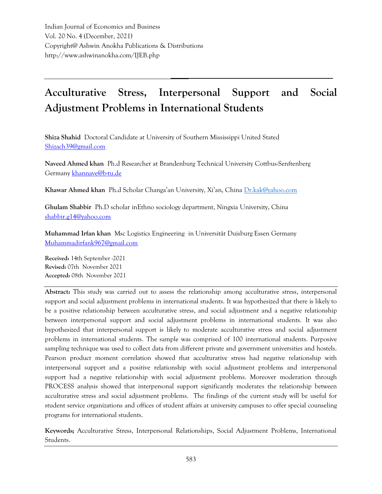Indian Journal of Economics and Business Vol. 20 No. 4 (December, 2021) Copyright@ Ashwin Anokha Publications & Distributions http://www.ashwinanokha.com/IJEB.php

# **Acculturative Stress, Interpersonal Support and Social Adjustment Problems in International Students**

**Shiza Shahid** Doctoral Candidate at University of Southern Mississippi United Stated [Shizach39@gmail.com](mailto:Shizach39@gmail.com)

**Naveed Ahmed khan** Ph.d Researcher at Brandenburg Technical University Cottbus-Senftenberg Germany [khannave@b-tu.de](mailto:khannave@b-tu.de)

**Khawar Ahmed khan** Ph.d Scholar Changa'an University, Xi'an, China [Dr.kak@yahoo.com](mailto:Dr.kak@yahoo.com)

**Ghulam Shabbir** Ph.D scholar inEthno sociology department, Ningxia University, China [shabbir.g14@yahoo.com](mailto:shabbir.g14@yahoo.com)

**Muhammad Irfan khan** Msc Logistics Engineering in Universität Duisburg Essen Germany [Muhammadirfank967@gmail.com](mailto:Muhammadirfank967@gmail.com)

**Received:** 14th September -2021 **Revised:** 07th November 2021 **Accepted:** 08th November 2021

**Abstract:** This study was carried out to assess the relationship among acculturative stress, interpersonal support and social adjustment problems in international students. It was hypothesized that there is likely to be a positive relationship between acculturative stress, and social adjustment and a negative relationship between interpersonal support and social adjustment problems in international students. It was also hypothesized that interpersonal support is likely to moderate acculturative stress and social adjustment problems in international students. The sample was comprised of 100 international students. Purposive sampling technique was used to collect data from different private and government universities and hostels. Pearson product moment correlation showed that acculturative stress had negative relationship with interpersonal support and a positive relationship with social adjustment problems and interpersonal support had a negative relationship with social adjustment problems. Moreover moderation through PROCESS analysis showed that interpersonal support significantly moderates the relationship between acculturative stress and social adjustment problems. The findings of the current study will be useful for student service organizations and offices of student affairs at university campuses to offer special counseling programs for international students.

**Keywords;** Acculturative Stress, Interpersonal Relationships, Social Adjustment Problems, International Students.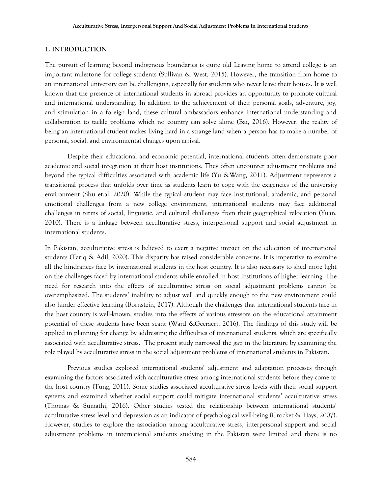#### **1. INTRODUCTION**

The pursuit of learning beyond indigenous boundaries is quite old Leaving home to attend college is an important milestone for college students (Sullivan & West, 2015). However, the transition from home to an international university can be challenging, especially for students who never leave their houses. It is well known that the presence of international students in abroad provides an opportunity to promote cultural and international understanding. In addition to the achievement of their personal goals, adventure, joy, and stimulation in a foreign land, these cultural ambassadors enhance international understanding and collaboration to tackle problems which no country can solve alone (Bai, 2016). However, the reality of being an international student makes living hard in a strange land when a person has to make a number of personal, social, and environmental changes upon arrival.

Despite their educational and economic potential, international students often demonstrate poor academic and social integration at their host institutions. They often encounter adjustment problems and beyond the typical difficulties associated with academic life (Yu &Wang, 2011). Adjustment represents a transitional process that unfolds over time as students learn to cope with the exigencies of the university environment (Shu et.al, 2020). While the typical student may face institutional, academic, and personal emotional challenges from a new college environment, international students may face additional challenges in terms of social, linguistic, and cultural challenges from their geographical relocation (Yuan, 2010). There is a linkage between acculturative stress, interpersonal support and social adjustment in international students.

In Pakistan, acculturative stress is believed to exert a negative impact on the education of international students (Tariq & Adil, 2020). This disparity has raised considerable concerns. It is imperative to examine all the hindrances face by international students in the host country. It is also necessary to shed more light on the challenges faced by international students while enrolled in host institutions of higher learning. The need for research into the effects of acculturative stress on social adjustment problems cannot be overemphasized. The students' inability to adjust well and quickly enough to the new environment could also hinder effective learning (Bornstein, 2017). Although the challenges that international students face in the host country is well-known, studies into the effects of various stressors on the educational attainment potential of these students have been scant (Ward &Geeraert, 2016). The findings of this study will be applied in planning for change by addressing the difficulties of international students, which are specifically associated with acculturative stress. The present study narrowed the gap in the literature by examining the role played by acculturative stress in the social adjustment problems of international students in Pakistan.

Previous studies explored international students' adjustment and adaptation processes through examining the factors associated with acculturative stress among international students before they come to the host country (Tung, 2011). Some studies associated acculturative stress levels with their social support systems and examined whether social support could mitigate international students' acculturative stress (Thomas & Sumathi, 2016). Other studies tested the relationship between international students' acculturative stress level and depression as an indicator of psychological well-being (Crocket & Hays, 2007). However, studies to explore the association among acculturative stress, interpersonal support and social adjustment problems in international students studying in the Pakistan were limited and there is no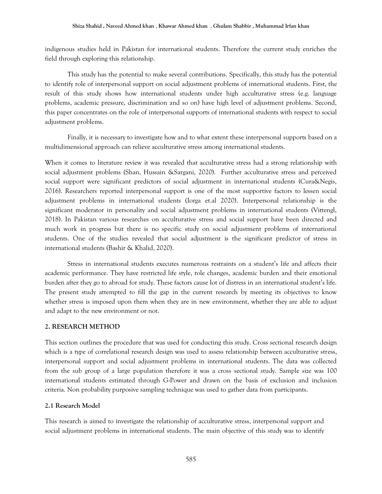indigenous studies held in Pakistan for international students. Therefore the current study enriches the field through exploring this relationship.

This study has the potential to make several contributions. Specifically, this study has the potential to identify role of interpersonal support on social adjustment problems of international students. First, the result of this study shows how international students under high acculturative stress (e.g. language problems, academic pressure, discrimination and so on) have high level of adjustment problems. Second, this paper concentrates on the role of interpersonal supports of international students with respect to social adjustment problems.

Finally, it is necessary to investigate how and to what extent these interpersonal supports based on a multidimensional approach can relieve acculturative stress among international students.

When it comes to literature review it was revealed that acculturative stress had a strong relationship with social adjustment problems (Shan, Hussain &Sargani, 2020). Further acculturative stress and perceived social support were significant predictors of social adjustment in international students (Cura&Negis, 2016). Researchers reported interpersonal support is one of the most supportive factors to lessen social adjustment problems in international students (Iorga et.al 2020). Interpersonal relationship is the significant moderator in personality and social adjustment problems in international students (Vittengl, 2018). In Pakistan various researches on acculturative stress and social support have been directed and much work in progress but there is no specific study on social adjustment problems of international students. One of the studies revealed that social adjustment is the significant predictor of stress in international students (Bashir & Khalid, 2020).

Stress in international students executes numerous restraints on a student's life and affects their academic performance. They have restricted life style, role changes, academic burden and their emotional burden after they go to abroad for study. These factors cause lot of distress in an international student's life. The present study attempted to fill the gap in the current research by meeting its objectives to know whether stress is imposed upon them when they are in new environment, whether they are able to adjust and adapt to the new environment or not.

#### **2. RESEARCH METHOD**

This section outlines the procedure that was used for conducting this study. Cross sectional research design which is a type of correlational research design was used to assess relationship between acculturative stress, interpersonal support and social adjustment problems in international students. The data was collected from the sub group of a large population therefore it was a cross sectional study. Sample size was 100 international students estimated through G-Power and drawn on the basis of exclusion and inclusion criteria. Non probability purposive sampling technique was used to gather data from participants.

# **2.1 Research Model**

This research is aimed to investigate the relationship of acculturative stress, interpersonal support and social adjustment problems in international students. The main objective of this study was to identify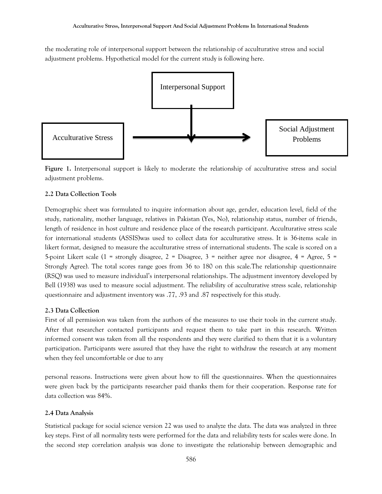the moderating role of interpersonal support between the relationship of acculturative stress and social adjustment problems. Hypothetical model for the current study is following here.



**Figure 1.** Interpersonal support is likely to moderate the relationship of acculturative stress and social adjustment problems.

## **2.2 Data Collection Tools**

Demographic sheet was formulated to inquire information about age, gender, education level, field of the study, nationality, mother language, relatives in Pakistan (Yes, No), relationship status, number of friends, length of residence in host culture and residence place of the research participant. Acculturative stress scale for international students (ASSIS)was used to collect data for acculturative stress. It is 36-items scale in likert format, designed to measure the acculturative stress of international students. The scale is scored on a 5-point Likert scale (1 = strongly disagree, 2 = Disagree, 3 = neither agree nor disagree, 4 = Agree, 5 = Strongly Agree). The total scores range goes from 36 to 180 on this scale.The relationship questionnaire (RSQ) was used to measure individual's interpersonal relationships. The adjustment inventory developed by Bell (1938) was used to measure social adjustment. The reliability of acculturative stress scale, relationship questionnaire and adjustment inventory was .77, .93 and .87 respectively for this study.

#### **2.3 Data Collection**

First of all permission was taken from the authors of the measures to use their tools in the current study. After that researcher contacted participants and request them to take part in this research. Written informed consent was taken from all the respondents and they were clarified to them that it is a voluntary participation. Participants were assured that they have the right to withdraw the research at any moment when they feel uncomfortable or due to any

personal reasons. Instructions were given about how to fill the questionnaires. When the questionnaires were given back by the participants researcher paid thanks them for their cooperation. Response rate for data collection was 84%.

#### **2.4 Data Analysis**

Statistical package for social science version 22 was used to analyze the data. The data was analyzed in three key steps. First of all normality tests were performed for the data and reliability tests for scales were done. In the second step correlation analysis was done to investigate the relationship between demographic and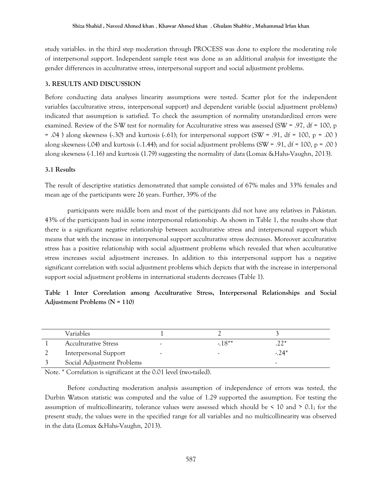study variables. in the third step moderation through PROCESS was done to explore the moderating role of interpersonal support. Independent sample t-test was done as an additional analysis for investigate the gender differences in acculturative stress, interpersonal support and social adjustment problems.

## **3. RESULTS AND DISCUSSION**

Before conducting data analyses linearity assumptions were tested. Scatter plot for the independent variables (acculturative stress, interpersonal support) and dependent variable (social adjustment problems) indicated that assumption is satisfied. To check the assumption of normality unstandardized errors were examined. Review of the S-W test for normality for Acculturative stress was assessed (SW = .97, df = 100, p = .04 ) along skewness (-.30) and kurtosis (-.61); for interpersonal support (SW = .91, df = 100, p = .00 ) along skewness (.04) and kurtosis  $(.1.44)$ ; and for social adjustment problems (SW = .91, df = 100, p = .00) along skewness (-1.16) and kurtosis (1.79) suggesting the normality of data (Lomax &Hahs-Vaughn, 2013).

## **3.1 Results**

The result of descriptive statistics demonstrated that sample consisted of 67% males and 33% females and mean age of the participants were 26 years. Further, 39% of the

participants were middle born and most of the participants did not have any relatives in Pakistan. 43% of the participants had in some interpersonal relationship. As shown in Table 1, the results show that there is a significant negative relationship between acculturative stress and interpersonal support which means that with the increase in interpersonal support acculturative stress decreases. Moreover acculturative stress has a positive relationship with social adjustment problems which revealed that when acculturative stress increases social adjustment increases. In addition to this interpersonal support has a negative significant correlation with social adjustment problems which depicts that with the increase in interpersonal support social adjustment problems in international students decreases (Table 1).

|                                 |  |  |  |  |  |  | Table 1 Inter Correlation among Acculturative Stress, Interpersonal Relationships and Social |  |  |  |
|---------------------------------|--|--|--|--|--|--|----------------------------------------------------------------------------------------------|--|--|--|
| Adjustment Problems $(N = 110)$ |  |  |  |  |  |  |                                                                                              |  |  |  |

| Variables                   |         |        |
|-----------------------------|---------|--------|
| <b>Acculturative Stress</b> | $-18**$ | つつ*    |
| Interpersonal Support       |         | $-24*$ |
| Social Adjustment Problems  |         |        |

Note. \* Correlation is significant at the 0.01 level (two-tailed).

Before conducting moderation analysis assumption of independence of errors was tested, the Durbin Watson statistic was computed and the value of 1.29 supported the assumption. For testing the assumption of multicollinearity, tolerance values were assessed which should be  $\leq 10$  and  $\geq 0.1$ ; for the present study, the values were in the specified range for all variables and no multicollinearity was observed in the data (Lomax &Hahs-Vaughn, 2013).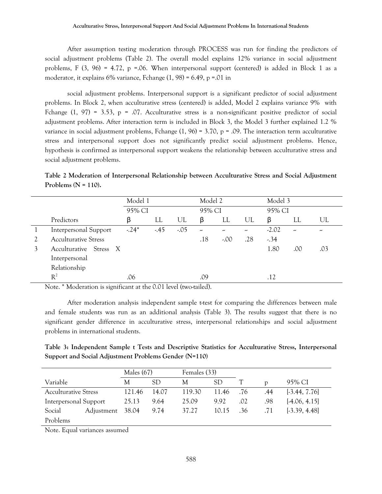After assumption testing moderation through PROCESS was run for finding the predictors of social adjustment problems (Table 2). The overall model explains 12% variance in social adjustment problems, F  $(3, 96) = 4.72$ , p =.06. When interpersonal support (centered) is added in Block 1 as a moderator, it explains 6% variance, Fchange (1, 98) = 6.49, p =.01 in

social adjustment problems. Interpersonal support is a significant predictor of social adjustment problems. In Block 2, when acculturative stress (centered) is added, Model 2 explains variance 9% with Fchange  $(1, 97) = 3.53$ , p = .07. Acculturative stress is a non-significant positive predictor of social adjustment problems. After interaction term is included in Block 3, the Model 3 further explained 1.2 % variance in social adjustment problems, Fchange  $(1, 96) = 3.70$ , p = .09. The interaction term acculturative stress and interpersonal support does not significantly predict social adjustment problems. Hence, hypothesis is confirmed as interpersonal support weakens the relationship between acculturative stress and social adjustment problems.

**Table 2 Moderation of Interpersonal Relationship between Acculturative Stress and Social Adjustment Problems (N = 110).**

|   |                              | Model 1 |       |        | Model 2 |         |     | Model 3 |     |     |
|---|------------------------------|---------|-------|--------|---------|---------|-----|---------|-----|-----|
|   |                              | 95% CI  |       |        | 95% CI  |         |     | 95% CI  |     |     |
|   | Predictors                   | β       | LL    | UL     | β       | LL      | UL  | β       | LL  | UL  |
|   | <b>Interpersonal Support</b> | $-24*$  | $-45$ | $-.05$ | رر      | رر      | ۔   | $-2.02$ | -   | رر  |
|   | <b>Acculturative Stress</b>  |         |       |        | .18     | $-.00.$ | .28 | $-34$   |     |     |
| 3 | Acculturative Stress X       |         |       |        |         |         |     | 1.80    | .00 | .03 |
|   | Interpersonal                |         |       |        |         |         |     |         |     |     |
|   | Relationship                 |         |       |        |         |         |     |         |     |     |
|   | $R^2$                        | .06     |       |        | .09     |         |     | .12     |     |     |

Note. \* Moderation is significant at the 0.01 level (two-tailed).

After moderation analysis independent sample t-test for comparing the differences between male and female students was run as an additional analysis (Table 3). The results suggest that there is no significant gender difference in acculturative stress, interpersonal relationships and social adjustment problems in international students.

**Table 3: Independent Sample t Tests and Descriptive Statistics for Acculturative Stress, Interpersonal Support and Social Adjustment Problems Gender (N=110)**

|                             |            | Males $(67)$ |       | Females (33) |           |     |     |                 |
|-----------------------------|------------|--------------|-------|--------------|-----------|-----|-----|-----------------|
| Variable                    |            | М            | SD    | М            | <b>SD</b> |     | D   | 95% CI          |
| <b>Acculturative Stress</b> |            | 121.46       | 14.07 | 119.30       | 11.46     | .76 | .44 | $[-3.44, 7.76]$ |
| Interpersonal Support       |            | 25.13        | 9.64  | 25.09        | 9.92      | .02 | .98 | [4.06, 4.15]    |
| Social                      | Adjustment | 38.04        | 9.74  | 37.27        | 10.15     | .36 | .71 | $[-3.39, 4.48]$ |
| Problems                    |            |              |       |              |           |     |     |                 |

Note. Equal variances assumed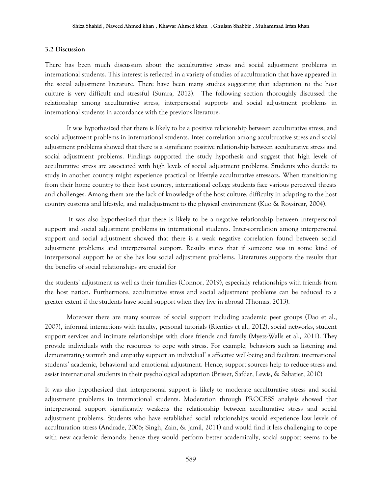#### **3.2 Discussion**

There has been much discussion about the acculturative stress and social adjustment problems in international students. This interest is reflected in a variety of studies of acculturation that have appeared in the social adjustment literature. There have been many studies suggesting that adaptation to the host culture is very difficult and stressful (Sumra, 2012). The following section thoroughly discussed the relationship among acculturative stress, interpersonal supports and social adjustment problems in international students in accordance with the previous literature.

It was hypothesized that there is likely to be a positive relationship between acculturative stress, and social adjustment problems in international students. Inter correlation among acculturative stress and social adjustment problems showed that there is a significant positive relationship between acculturative stress and social adjustment problems. Findings supported the study hypothesis and suggest that high levels of acculturative stress are associated with high levels of social adjustment problems. Students who decide to study in another country might experience practical or lifestyle acculturative stressors. When transitioning from their home country to their host country, international college students face various perceived threats and challenges. Among them are the lack of knowledge of the host culture, difficulty in adapting to the host country customs and lifestyle, and maladjustment to the physical environment (Kuo & Roysircar, 2004).

It was also hypothesized that there is likely to be a negative relationship between interpersonal support and social adjustment problems in international students. Inter-correlation among interpersonal support and social adjustment showed that there is a weak negative correlation found between social adjustment problems and interpersonal support. Results states that if someone was in some kind of interpersonal support he or she has low social adjustment problems. Literatures supports the results that the benefits of social relationships are crucial for

the students' adjustment as well as their families (Connor, 2019), especially relationships with friends from the host nation. Furthermore, acculturative stress and social adjustment problems can be reduced to a greater extent if the students have social support when they live in abroad (Thomas, 2013).

Moreover there are many sources of social support including academic peer groups (Dao et al., 2007), informal interactions with faculty, personal tutorials (Rienties et al., 2012), social networks, student support services and intimate relationships with close friends and family (Myers-Walls et al., 2011). They provide individuals with the resources to cope with stress. For example, behaviors such as listening and demonstrating warmth and empathy support an individual' s affective well-being and facilitate international students' academic, behavioral and emotional adjustment. Hence, support sources help to reduce stress and assist international students in their psychological adaptation (Brisset, Safdar, Lewis, & Sabatier, 2010)

It was also hypothesized that interpersonal support is likely to moderate acculturative stress and social adjustment problems in international students. Moderation through PROCESS analysis showed that interpersonal support significantly weakens the relationship between acculturative stress and social adjustment problems. Students who have established social relationships would experience low levels of acculturation stress (Andrade, 2006; Singh, Zain, & Jamil, 2011) and would find it less challenging to cope with new academic demands; hence they would perform better academically, social support seems to be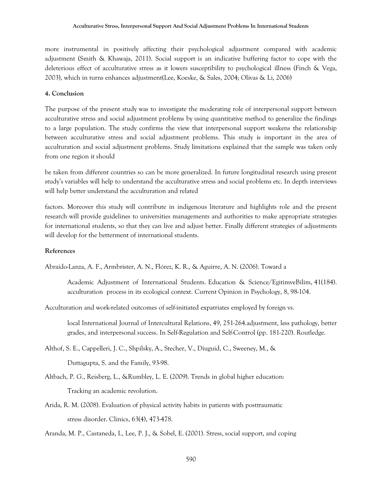more instrumental in positively affecting their psychological adjustment compared with academic adjustment (Smith & Khawaja, 2011). Social support is an indicative buffering factor to cope with the deleterious effect of acculturative stress as it lowers susceptibility to psychological illness (Finch & Vega, 2003), which in turns enhances adjustment(Lee, Koeske, & Sales, 2004; Olivas & Li, 2006)

## **4. Conclusion**

The purpose of the present study was to investigate the moderating role of interpersonal support between acculturative stress and social adjustment problems by using quantitative method to generalize the findings to a large population. The study confirms the view that interpersonal support weakens the relationship between acculturative stress and social adjustment problems. This study is important in the area of acculturation and social adjustment problems. Study limitations explained that the sample was taken only from one region it should

be taken from different countries so can be more generalized. In future longitudinal research using present study's variables will help to understand the acculturative stress and social problems etc. In depth interviews will help better understand the acculturation and related

factors. Moreover this study will contribute in indigenous literature and highlights role and the present research will provide guidelines to universities managements and authorities to make appropriate strategies for international students, so that they can live and adjust better. Finally different strategies of adjustments will develop for the betterment of international students.

#### **References**

Abraído-Lanza, A. F., Armbrister, A. N., Flórez, K. R., & Aguirre, A. N. (2006). Toward a

Academic Adjustment of International Students. Education & Science/EgitimveBilim, 41(184). acculturation process in its ecological context. Current Opinion in Psychology, 8, 98-104.

Acculturation and work-related outcomes of self-initiated expatriates employed by foreign vs.

local International Journal of Intercultural Relations, 49, 251-264.adjustment, less pathology, better grades, and interpersonal success. In Self-Regulation and Self-Control (pp. 181-220). Routledge.

- Althof, S. E., Cappelleri, J. C., Shpilsky, A., Stecher, V., Diuguid, C., Sweeney, M., & Duttagupta, S. and the Family, 93-98.
- Altbach, P. G., Reisberg, L., &Rumbley, L. E. (2009). Trends in global higher education: Tracking an academic revolution.
- Arida, R. M. (2008). Evaluation of physical activity habits in patients with posttraumatic stress disorder. Clinics, 63(4), 473-478.

Aranda, M. P., Castaneda, I., Lee, P. J., & Sobel, E. (2001). Stress, social support, and coping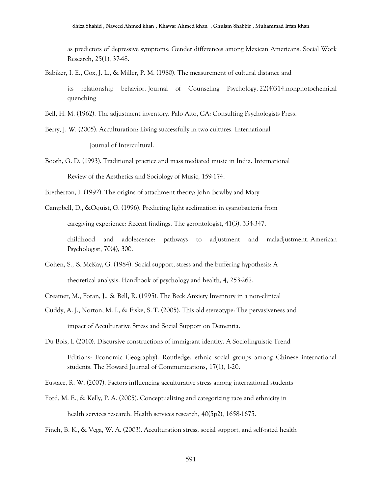as predictors of depressive symptoms: Gender differences among Mexican Americans. Social Work Research, 25(1), 37-48.

- Babiker, I. E., Cox, J. L., & Miller, P. M. (1980). The measurement of cultural distance and its relationship behavior. Journal of Counseling Psychology, 22(4)314.nonphotochemical quenching
- Bell, H. M. (1962). The adjustment inventory. Palo Alto, CA: Consulting Psychologists Press.
- Berry, J. W. (2005). Acculturation: Living successfully in two cultures. International journal of Intercultural.
- Booth, G. D. (1993). Traditional practice and mass mediated music in India. International Review of the Aesthetics and Sociology of Music, 159-174.
- Bretherton, I. (1992). The origins of attachment theory: John Bowlby and Mary
- Campbell, D., &Oquist, G. (1996). Predicting light acclimation in cyanobacteria from

caregiving experience: Recent findings. The gerontologist, 41(3), 334-347.

childhood and adolescence: pathways to adjustment and maladjustment. American Psychologist, 70(4), 300.

- Cohen, S., & McKay, G. (1984). Social support, stress and the buffering hypothesis: A theoretical analysis. Handbook of psychology and health, 4, 253-267.
- Creamer, M., Foran, J., & Bell, R. (1995). The Beck Anxiety Inventory in a non-clinical
- Cuddy, A. J., Norton, M. I., & Fiske, S. T. (2005). This old stereotype: The pervasiveness and impact of Acculturative Stress and Social Support on Dementia.
- Du Bois, I. (2010). Discursive constructions of immigrant identity. A Sociolinguistic Trend

Editions: Economic Geography). Routledge. ethnic social groups among Chinese international students. The Howard Journal of Communications, 17(1), 1-20.

- Eustace, R. W. (2007). Factors influencing acculturative stress among international students
- Ford, M. E., & Kelly, P. A. (2005). Conceptualizing and categorizing race and ethnicity in health services research. Health services research, 40(5p2), 1658-1675.

Finch, B. K., & Vega, W. A. (2003). Acculturation stress, social support, and self-rated health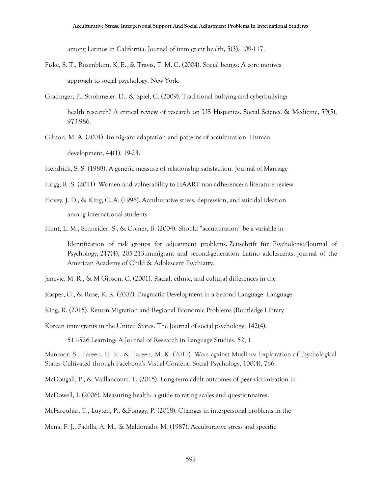among Latinos in California. Journal of immigrant health, 5(3), 109-117.

- Fiske, S. T., Rosenblum, K. E., & Travis, T. M. C. (2004). Social beings: A core motives approach to social psychology. New York.
- Gradinger, P., Strohmeier, D., & Spiel, C. (2009). Traditional bullying and cyberbullying: health research? A critical review of research on US Hispanics. Social Science & Medicine, 59(5), 973-986.
- Gibson, M. A. (2001). Immigrant adaptation and patterns of acculturation. Human development, 44(1), 19-23.
- Hendrick, S. S. (1988). A generic measure of relationship satisfaction. Journal of Marriage
- Hogg, R. S. (2011). Women and vulnerability to HAART non-adherence: a literature review
- Hovey, J. D., & King, C. A. (1996). Acculturative stress, depression, and suicidal ideation among international students

Hunt, L. M., Schneider, S., & Comer, B. (2004). Should "acculturation" be a variable in

Identification of risk groups for adjustment problems. Zeitschrift für Psychologie/Journal of Psychology, 217(4), 205-213.immigrant and second-generation Latino adolescents. Journal of the American Academy of Child & Adolescent Psychiatry.

Janevic, M. R., & M Gibson, C. (2001). Racial, ethnic, and cultural differences in the

Kasper, G., & Rose, K. R. (2002). Pragmatic Development in a Second Language. Language

King, R. (2015). Return Migration and Regional Economic Problems (Routledge Library

Korean immigrants in the United States. The Journal of social psychology, 142(4),

511-526.Learning: A Journal of Research in Language Studies, 52, 1.

Manzoor, S., Tareen, H. K., & Tareen, M. K. (2011). Wars against Muslims: Exploration of Psychological States Cultivated through Facebook's Visual Content. Social Psychology, 100(4), 766.

McDougall, P., & Vaillancourt, T. (2015). Long-term adult outcomes of peer victimization in

McDowell, I. (2006). Measuring health: a guide to rating scales and questionnaires.

McFarquhar, T., Luyten, P., &Fonagy, P. (2018). Changes in interpersonal problems in the

Mena, F. J., Padilla, A. M., & Maldonado, M. (1987). Acculturative stress and specific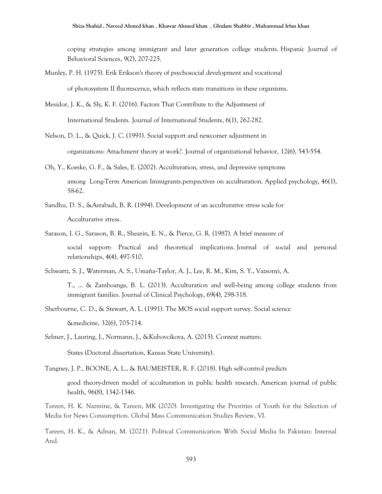coping strategies among immigrant and later generation college students. Hispanic Journal of Behavioral Sciences, 9(2), 207-225.

- Munley, P. H. (1975). Erik Erikson's theory of psychosocial development and vocational of photosystem II fluorescence, which reflects state transitions in these organisms.
- Mesidor, J. K., & Sly, K. F. (2016). Factors That Contribute to the Adjustment of International Students. Journal of International Students, 6(1), 262-282.
- Nelson, D. L., & Quick, J. C. (1991). Social support and newcomer adjustment in organizations: Attachment theory at work?. Journal of organizational behavior, 12(6), 543-554.
- Oh, Y., Koeske, G. F., & Sales, E. (2002). Acculturation, stress, and depressive symptoms among Long-Term American Immigrants.perspectives on acculturation. Applied psychology, 46(1), 58-62.
- Sandhu, D. S., &Asrabadi, B. R. (1994). Development of an acculturative stress scale for Acculturative stress.
- Sarason, I. G., Sarason, B. R., Shearin, E. N., & Pierce, G. R. (1987). A brief measure of social support: Practical and theoretical implications. Journal of social and personal relationships, 4(4), 497-510.
- Schwartz, S. J., Waterman, A. S., Umaña‐Taylor, A. J., Lee, R. M., Kim, S. Y., Vazsonyi, A.
	- T., ... & Zamboanga, B. L. (2013). Acculturation and well‐being among college students from immigrant families. Journal of Clinical Psychology, 69(4), 298-318.
- Sherbourne, C. D., & Stewart, A. L. (1991). The MOS social support survey. Social science &medicine, 32(6), 705-714.
- Selmer, J., Lauring, J., Normann, J., &Kubovcikova, A. (2015). Context matters:

States (Doctoral dissertation, Kansas State University).

Tangney, J. P., BOONE, A. L., & BAUMEISTER, R. F. (2018). High self-control predicts

good theory-driven model of acculturation in public health research. American journal of public health, 96(8), 1342-1346.

Tareen, H. K. Nazmine, & Tareen, MK (2020). Investigating the Priorities of Youth for the Selection of Media for News Consumption. Global Mass Communication Studies Review, VI.

Tareen, H. K., & Adnan, M. (2021). Political Communication With Social Media In Pakistan: Internal And.